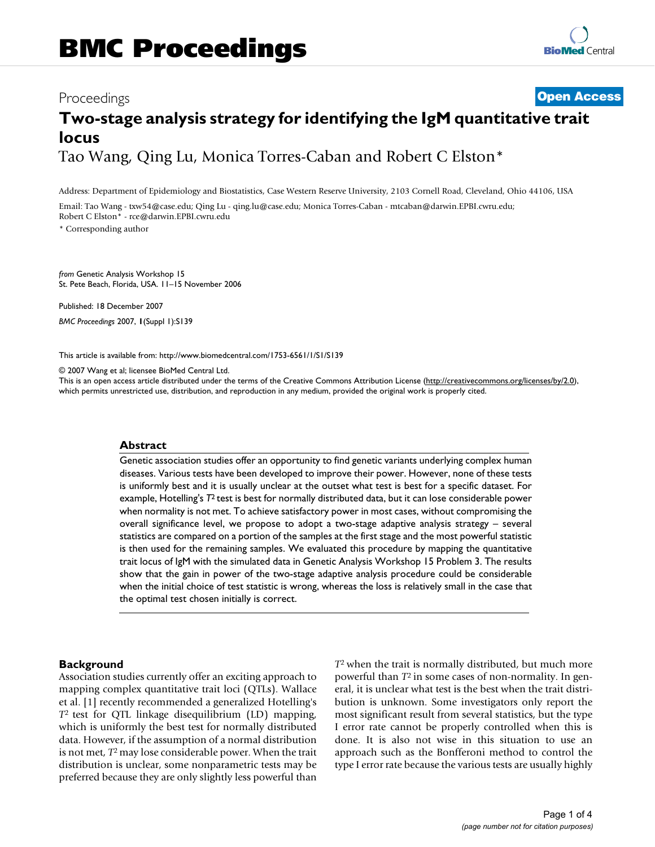# Proceedings **[Open Access](http://www.biomedcentral.com/info/about/charter/) Two-stage analysis strategy for identifying the IgM quantitative trait locus** Tao Wang, Qing Lu, Monica Torres-Caban and Robert C Elston\*

Address: Department of Epidemiology and Biostatistics, Case Western Reserve University, 2103 Cornell Road, Cleveland, Ohio 44106, USA

Email: Tao Wang - txw54@case.edu; Qing Lu - qing.lu@case.edu; Monica Torres-Caban - mtcaban@darwin.EPBI.cwru.edu; Robert C Elston\* - rce@darwin.EPBI.cwru.edu

\* Corresponding author

*from* Genetic Analysis Workshop 15 St. Pete Beach, Florida, USA. 11–15 November 2006

Published: 18 December 2007 *BMC Proceedings* 2007, **1**(Suppl 1):S139

[This article is available from: http://www.biomedcentral.com/1753-6561/1/S1/S139](http://www.biomedcentral.com/1753-6561/1/S1/S139)

© 2007 Wang et al; licensee BioMed Central Ltd.

This is an open access article distributed under the terms of the Creative Commons Attribution License [\(http://creativecommons.org/licenses/by/2.0\)](http://creativecommons.org/licenses/by/2.0), which permits unrestricted use, distribution, and reproduction in any medium, provided the original work is properly cited.

#### **Abstract**

Genetic association studies offer an opportunity to find genetic variants underlying complex human diseases. Various tests have been developed to improve their power. However, none of these tests is uniformly best and it is usually unclear at the outset what test is best for a specific dataset. For example, Hotelling's *T*2 test is best for normally distributed data, but it can lose considerable power when normality is not met. To achieve satisfactory power in most cases, without compromising the overall significance level, we propose to adopt a two-stage adaptive analysis strategy – several statistics are compared on a portion of the samples at the first stage and the most powerful statistic is then used for the remaining samples. We evaluated this procedure by mapping the quantitative trait locus of IgM with the simulated data in Genetic Analysis Workshop 15 Problem 3. The results show that the gain in power of the two-stage adaptive analysis procedure could be considerable when the initial choice of test statistic is wrong, whereas the loss is relatively small in the case that the optimal test chosen initially is correct.

### **Background**

Association studies currently offer an exciting approach to mapping complex quantitative trait loci (QTLs). Wallace et al. [1] recently recommended a generalized Hotelling's *T*2 test for QTL linkage disequilibrium (LD) mapping, which is uniformly the best test for normally distributed data. However, if the assumption of a normal distribution is not met, *T*2 may lose considerable power. When the trait distribution is unclear, some nonparametric tests may be preferred because they are only slightly less powerful than *T*2 when the trait is normally distributed, but much more powerful than *T*2 in some cases of non-normality. In general, it is unclear what test is the best when the trait distribution is unknown. Some investigators only report the most significant result from several statistics, but the type I error rate cannot be properly controlled when this is done. It is also not wise in this situation to use an approach such as the Bonfferoni method to control the type I error rate because the various tests are usually highly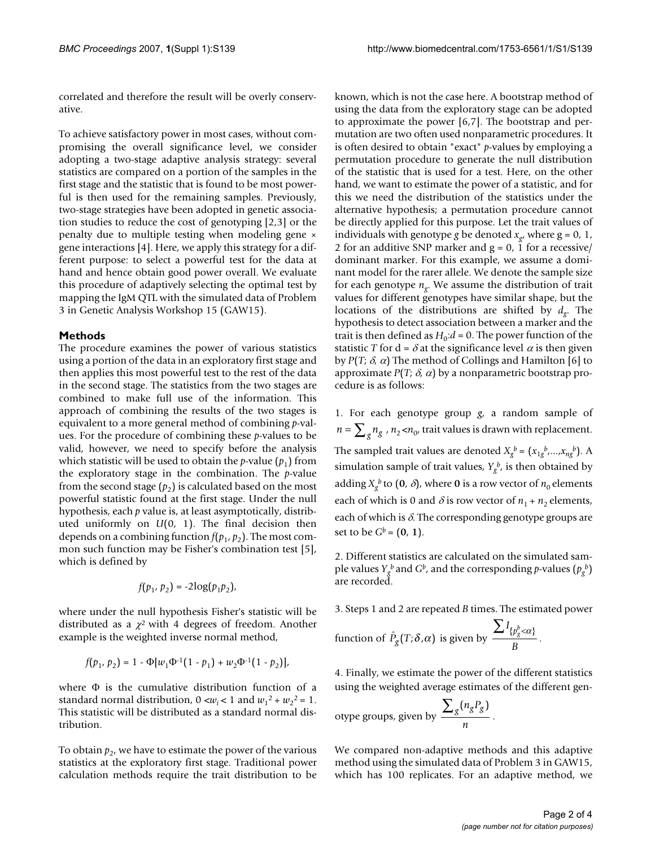correlated and therefore the result will be overly conservative.

To achieve satisfactory power in most cases, without compromising the overall significance level, we consider adopting a two-stage adaptive analysis strategy: several statistics are compared on a portion of the samples in the first stage and the statistic that is found to be most powerful is then used for the remaining samples. Previously, two-stage strategies have been adopted in genetic association studies to reduce the cost of genotyping [2,3] or the penalty due to multiple testing when modeling gene × gene interactions [4]. Here, we apply this strategy for a different purpose: to select a powerful test for the data at hand and hence obtain good power overall. We evaluate this procedure of adaptively selecting the optimal test by mapping the IgM QTL with the simulated data of Problem 3 in Genetic Analysis Workshop 15 (GAW15).

# **Methods**

The procedure examines the power of various statistics using a portion of the data in an exploratory first stage and then applies this most powerful test to the rest of the data in the second stage. The statistics from the two stages are combined to make full use of the information. This approach of combining the results of the two stages is equivalent to a more general method of combining *p*-values. For the procedure of combining these *p*-values to be valid, however, we need to specify before the analysis which statistic will be used to obtain the *p*-value  $(p_1)$  from the exploratory stage in the combination. The *p*-value from the second stage  $(p_2)$  is calculated based on the most powerful statistic found at the first stage. Under the null hypothesis, each *p* value is, at least asymptotically, distributed uniformly on *U*(0, 1). The final decision then depends on a combining function  $f(p_1, p_2)$ . The most common such function may be Fisher's combination test [5], which is defined by

$$
f(p_1, p_2) = -2\log(p_1p_2),
$$

where under the null hypothesis Fisher's statistic will be distributed as a  $\chi^2$  with 4 degrees of freedom. Another example is the weighted inverse normal method,

$$
f(p_1, p_2) = 1 - \Phi[w_1\Phi^{-1}(1-p_1) + w_2\Phi^{-1}(1-p_2)],
$$

where  $\Phi$  is the cumulative distribution function of a standard normal distribution,  $0 < w_i < 1$  and  $w_1^2 + w_2^2 = 1$ . This statistic will be distributed as a standard normal distribution.

To obtain  $p<sub>2</sub>$ , we have to estimate the power of the various statistics at the exploratory first stage. Traditional power calculation methods require the trait distribution to be

known, which is not the case here. A bootstrap method of using the data from the exploratory stage can be adopted to approximate the power [6,7]. The bootstrap and permutation are two often used nonparametric procedures. It is often desired to obtain "exact" *p*-values by employing a permutation procedure to generate the null distribution of the statistic that is used for a test. Here, on the other hand, we want to estimate the power of a statistic, and for this we need the distribution of the statistics under the alternative hypothesis; a permutation procedure cannot be directly applied for this purpose. Let the trait values of individuals with genotype *g* be denoted  $x_{\alpha}$ , where  $g = 0, 1$ , 2 for an additive SNP marker and  $g = 0$ , 1 for a recessive/ dominant marker. For this example, we assume a dominant model for the rarer allele. We denote the sample size for each genotype  $n_g$ . We assume the distribution of trait values for different genotypes have similar shape, but the locations of the distributions are shifted by *dg*. The hypothesis to detect association between a marker and the trait is then defined as  $H_0: d = 0$ . The power function of the statistic *T* for  $d = \delta$  at the significance level  $\alpha$  is then given by  $P(T; \delta, \alpha)$  The method of Collings and Hamilton [6] to approximate  $P(T; \delta, \alpha)$  by a nonparametric bootstrap procedure is as follows:

1. For each genotype group *g*, a random sample of  $n = \sum_{g} n_{g}$  ,  $n_{2}$  < $n_{0}$ , trait values is drawn with replacement. The sampled trait values are denoted  $X_g^b = (x_{1g}^b, \ldots, x_{ng}^b)$ . A simulation sample of trait values,  $Y_g^b$ , is then obtained by adding  $X_g^b$  to  $(0, \delta)$ , where 0 is a row vector of  $n_0$  elements each of which is 0 and  $\delta$  is row vector of  $n_1 + n_2$  elements, each of which is  $\delta$ . The corresponding genotype groups are set to be  $G^b = (0, 1)$ .

2. Different statistics are calculated on the simulated sample values  $Y_g^b$  and  $G^b$ , and the corresponding  $p$ -values  $(p_g^b)$ are recorded.

3. Steps 1 and 2 are repeated *B* times. The estimated power

function of 
$$
\hat{P}_g(T; \delta, \alpha)
$$
 is given by  $\frac{\sum I_{\{p_g^b < \alpha\}}}{B}$ .

4. Finally, we estimate the power of the different statistics using the weighted average estimates of the different gen-

otype groups, given by 
$$
\frac{\sum_{g} (n_g P_g)}{n}.
$$

We compared non-adaptive methods and this adaptive method using the simulated data of Problem 3 in GAW15, which has 100 replicates. For an adaptive method, we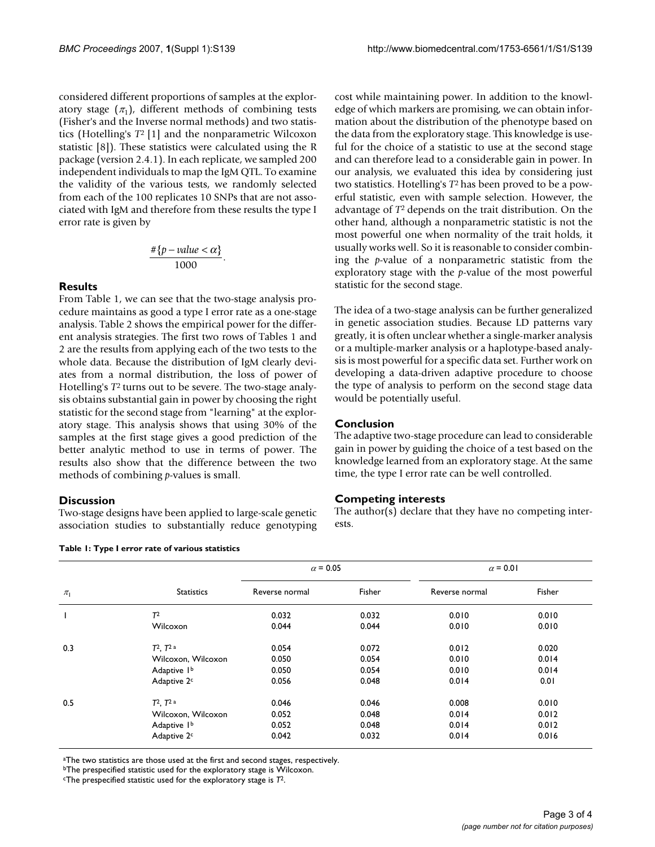considered different proportions of samples at the exploratory stage  $(\pi_1)$ , different methods of combining tests (Fisher's and the Inverse normal methods) and two statistics (Hotelling's *T*2 [1] and the nonparametric Wilcoxon statistic [8]). These statistics were calculated using the R package (version 2.4.1). In each replicate, we sampled 200 independent individuals to map the IgM QTL. To examine the validity of the various tests, we randomly selected from each of the 100 replicates 10 SNPs that are not associated with IgM and therefore from these results the type I error rate is given by

$$
\frac{\#\{p-value < \alpha\}}{1000}.
$$

# **Results**

From Table 1, we can see that the two-stage analysis procedure maintains as good a type I error rate as a one-stage analysis. Table 2 shows the empirical power for the different analysis strategies. The first two rows of Tables 1 and 2 are the results from applying each of the two tests to the whole data. Because the distribution of IgM clearly deviates from a normal distribution, the loss of power of Hotelling's *T*2 turns out to be severe. The two-stage analysis obtains substantial gain in power by choosing the right statistic for the second stage from "learning" at the exploratory stage. This analysis shows that using 30% of the samples at the first stage gives a good prediction of the better analytic method to use in terms of power. The results also show that the difference between the two methods of combining *p*-values is small.

# **Discussion**

Two-stage designs have been applied to large-scale genetic association studies to substantially reduce genotyping

**Table 1: Type I error rate of various statistics**

cost while maintaining power. In addition to the knowledge of which markers are promising, we can obtain information about the distribution of the phenotype based on the data from the exploratory stage. This knowledge is useful for the choice of a statistic to use at the second stage and can therefore lead to a considerable gain in power. In our analysis, we evaluated this idea by considering just two statistics. Hotelling's *T*2 has been proved to be a powerful statistic, even with sample selection. However, the advantage of *T*2 depends on the trait distribution. On the other hand, although a nonparametric statistic is not the most powerful one when normality of the trait holds, it usually works well. So it is reasonable to consider combining the *p*-value of a nonparametric statistic from the exploratory stage with the *p*-value of the most powerful statistic for the second stage.

The idea of a two-stage analysis can be further generalized in genetic association studies. Because LD patterns vary greatly, it is often unclear whether a single-marker analysis or a multiple-marker analysis or a haplotype-based analysis is most powerful for a specific data set. Further work on developing a data-driven adaptive procedure to choose the type of analysis to perform on the second stage data would be potentially useful.

# **Conclusion**

The adaptive two-stage procedure can lead to considerable gain in power by guiding the choice of a test based on the knowledge learned from an exploratory stage. At the same time, the type I error rate can be well controlled.

# **Competing interests**

The author( $\overline{s}$ ) declare that they have no competing interests.

|                    | <b>Statistics</b>       | $\alpha$ = 0.05 |        | $\alpha$ = 0.01 |        |
|--------------------|-------------------------|-----------------|--------|-----------------|--------|
| $\pi_{\mathsf{I}}$ |                         | Reverse normal  | Fisher | Reverse normal  | Fisher |
|                    | T <sup>2</sup>          | 0.032           | 0.032  | 0.010           | 0.010  |
|                    | Wilcoxon                | 0.044           | 0.044  | 0.010           | 0.010  |
| 0.3                | $T^2$ , $T^2$ a         | 0.054           | 0.072  | 0.012           | 0.020  |
|                    | Wilcoxon, Wilcoxon      | 0.050           | 0.054  | 0.010           | 0.014  |
|                    | Adaptive 1 <sup>b</sup> | 0.050           | 0.054  | 0.010           | 0.014  |
|                    | Adaptive 2c             | 0.056           | 0.048  | 0.014           | 0.01   |
| 0.5                | $T^2$ , $T^2$ a         | 0.046           | 0.046  | 0.008           | 0.010  |
|                    | Wilcoxon, Wilcoxon      | 0.052           | 0.048  | 0.014           | 0.012  |
|                    | Adaptive 1 <sup>b</sup> | 0.052           | 0.048  | 0.014           | 0.012  |
|                    | Adaptive 2c             | 0.042           | 0.032  | 0.014           | 0.016  |

aThe two statistics are those used at the first and second stages, respectively.

*bThe prespecified statistic used for the exploratory stage is Wilcoxon.* 

cThe prespecified statistic used for the exploratory stage is *T*2.